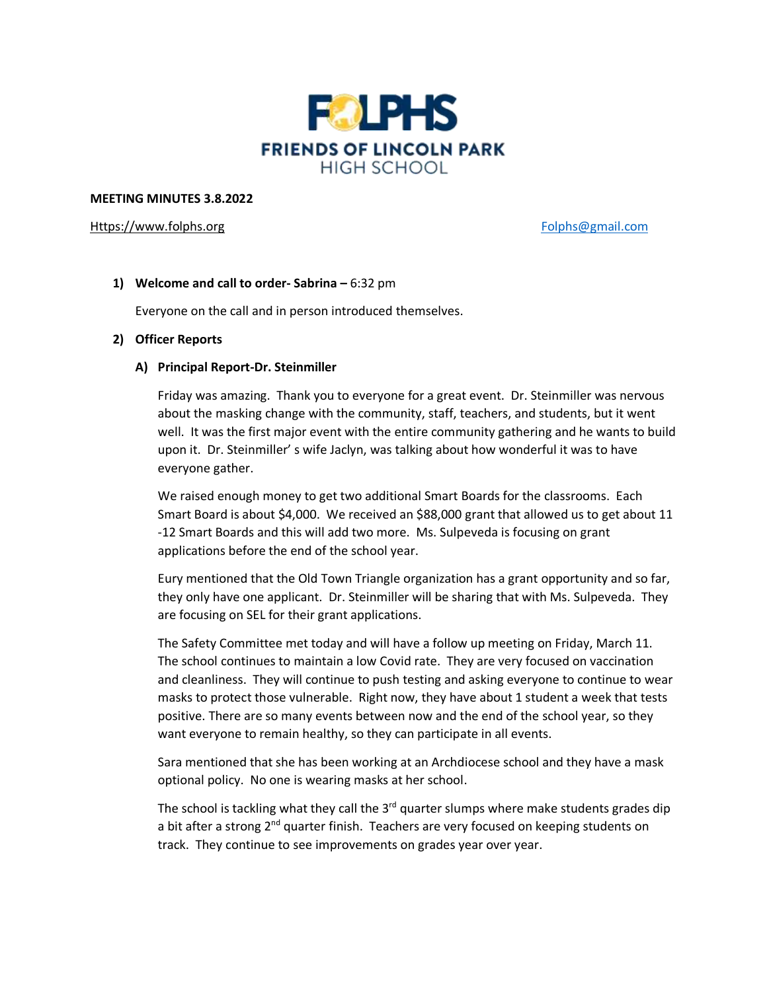

#### **MEETING MINUTES 3.8.2022**

## [Https://www.folphs.org](https://www.folphs.org/) example and the state of the [Folphs@gmail.com](mailto:Folphs@gmail.com)

# **1) Welcome and call to order- Sabrina –** 6:32 pm

Everyone on the call and in person introduced themselves.

## **2) Officer Reports**

## **A) Principal Report-Dr. Steinmiller**

Friday was amazing. Thank you to everyone for a great event. Dr. Steinmiller was nervous about the masking change with the community, staff, teachers, and students, but it went well. It was the first major event with the entire community gathering and he wants to build upon it. Dr. Steinmiller' s wife Jaclyn, was talking about how wonderful it was to have everyone gather.

We raised enough money to get two additional Smart Boards for the classrooms. Each Smart Board is about \$4,000. We received an \$88,000 grant that allowed us to get about 11 -12 Smart Boards and this will add two more. Ms. Sulpeveda is focusing on grant applications before the end of the school year.

Eury mentioned that the Old Town Triangle organization has a grant opportunity and so far, they only have one applicant. Dr. Steinmiller will be sharing that with Ms. Sulpeveda. They are focusing on SEL for their grant applications.

The Safety Committee met today and will have a follow up meeting on Friday, March 11. The school continues to maintain a low Covid rate. They are very focused on vaccination and cleanliness. They will continue to push testing and asking everyone to continue to wear masks to protect those vulnerable. Right now, they have about 1 student a week that tests positive. There are so many events between now and the end of the school year, so they want everyone to remain healthy, so they can participate in all events.

Sara mentioned that she has been working at an Archdiocese school and they have a mask optional policy. No one is wearing masks at her school.

The school is tackling what they call the 3<sup>rd</sup> quarter slumps where make students grades dip a bit after a strong 2<sup>nd</sup> quarter finish. Teachers are very focused on keeping students on track. They continue to see improvements on grades year over year.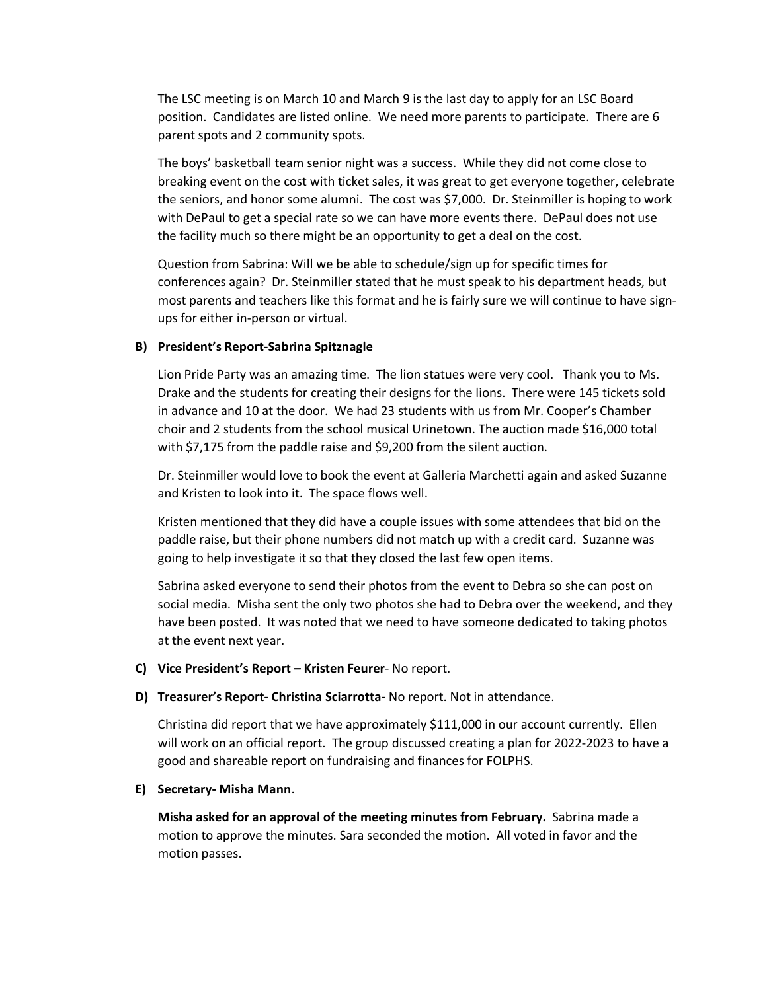The LSC meeting is on March 10 and March 9 is the last day to apply for an LSC Board position. Candidates are listed online. We need more parents to participate. There are 6 parent spots and 2 community spots.

The boys' basketball team senior night was a success. While they did not come close to breaking event on the cost with ticket sales, it was great to get everyone together, celebrate the seniors, and honor some alumni. The cost was \$7,000. Dr. Steinmiller is hoping to work with DePaul to get a special rate so we can have more events there. DePaul does not use the facility much so there might be an opportunity to get a deal on the cost.

Question from Sabrina: Will we be able to schedule/sign up for specific times for conferences again? Dr. Steinmiller stated that he must speak to his department heads, but most parents and teachers like this format and he is fairly sure we will continue to have signups for either in-person or virtual.

## **B) President's Report-Sabrina Spitznagle**

Lion Pride Party was an amazing time. The lion statues were very cool. Thank you to Ms. Drake and the students for creating their designs for the lions. There were 145 tickets sold in advance and 10 at the door. We had 23 students with us from Mr. Cooper's Chamber choir and 2 students from the school musical Urinetown. The auction made \$16,000 total with \$7,175 from the paddle raise and \$9,200 from the silent auction.

Dr. Steinmiller would love to book the event at Galleria Marchetti again and asked Suzanne and Kristen to look into it. The space flows well.

Kristen mentioned that they did have a couple issues with some attendees that bid on the paddle raise, but their phone numbers did not match up with a credit card. Suzanne was going to help investigate it so that they closed the last few open items.

Sabrina asked everyone to send their photos from the event to Debra so she can post on social media. Misha sent the only two photos she had to Debra over the weekend, and they have been posted. It was noted that we need to have someone dedicated to taking photos at the event next year.

- **C) Vice President's Report – Kristen Feurer** No report.
- **D) Treasurer's Report- Christina Sciarrotta-** No report. Not in attendance.

Christina did report that we have approximately \$111,000 in our account currently. Ellen will work on an official report. The group discussed creating a plan for 2022-2023 to have a good and shareable report on fundraising and finances for FOLPHS.

# **E) Secretary- Misha Mann**.

**Misha asked for an approval of the meeting minutes from February.** Sabrina made a motion to approve the minutes. Sara seconded the motion. All voted in favor and the motion passes.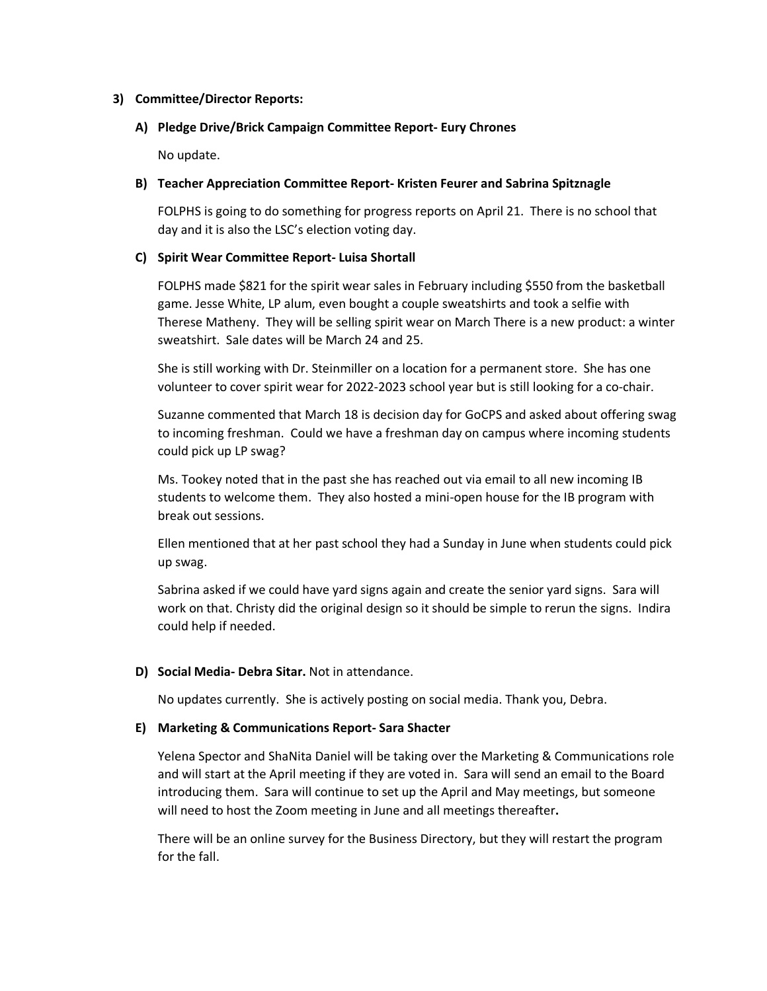## **3) Committee/Director Reports:**

## **A) Pledge Drive/Brick Campaign Committee Report- Eury Chrones**

No update.

## **B) Teacher Appreciation Committee Report- Kristen Feurer and Sabrina Spitznagle**

FOLPHS is going to do something for progress reports on April 21. There is no school that day and it is also the LSC's election voting day.

## **C) Spirit Wear Committee Report- Luisa Shortall**

FOLPHS made \$821 for the spirit wear sales in February including \$550 from the basketball game. Jesse White, LP alum, even bought a couple sweatshirts and took a selfie with Therese Matheny. They will be selling spirit wear on March There is a new product: a winter sweatshirt. Sale dates will be March 24 and 25.

She is still working with Dr. Steinmiller on a location for a permanent store. She has one volunteer to cover spirit wear for 2022-2023 school year but is still looking for a co-chair.

Suzanne commented that March 18 is decision day for GoCPS and asked about offering swag to incoming freshman. Could we have a freshman day on campus where incoming students could pick up LP swag?

Ms. Tookey noted that in the past she has reached out via email to all new incoming IB students to welcome them. They also hosted a mini-open house for the IB program with break out sessions.

Ellen mentioned that at her past school they had a Sunday in June when students could pick up swag.

Sabrina asked if we could have yard signs again and create the senior yard signs. Sara will work on that. Christy did the original design so it should be simple to rerun the signs. Indira could help if needed.

# **D) Social Media- Debra Sitar.** Not in attendance.

No updates currently. She is actively posting on social media. Thank you, Debra.

#### **E) Marketing & Communications Report- Sara Shacter**

Yelena Spector and ShaNita Daniel will be taking over the Marketing & Communications role and will start at the April meeting if they are voted in. Sara will send an email to the Board introducing them. Sara will continue to set up the April and May meetings, but someone will need to host the Zoom meeting in June and all meetings thereafter**.**

There will be an online survey for the Business Directory, but they will restart the program for the fall.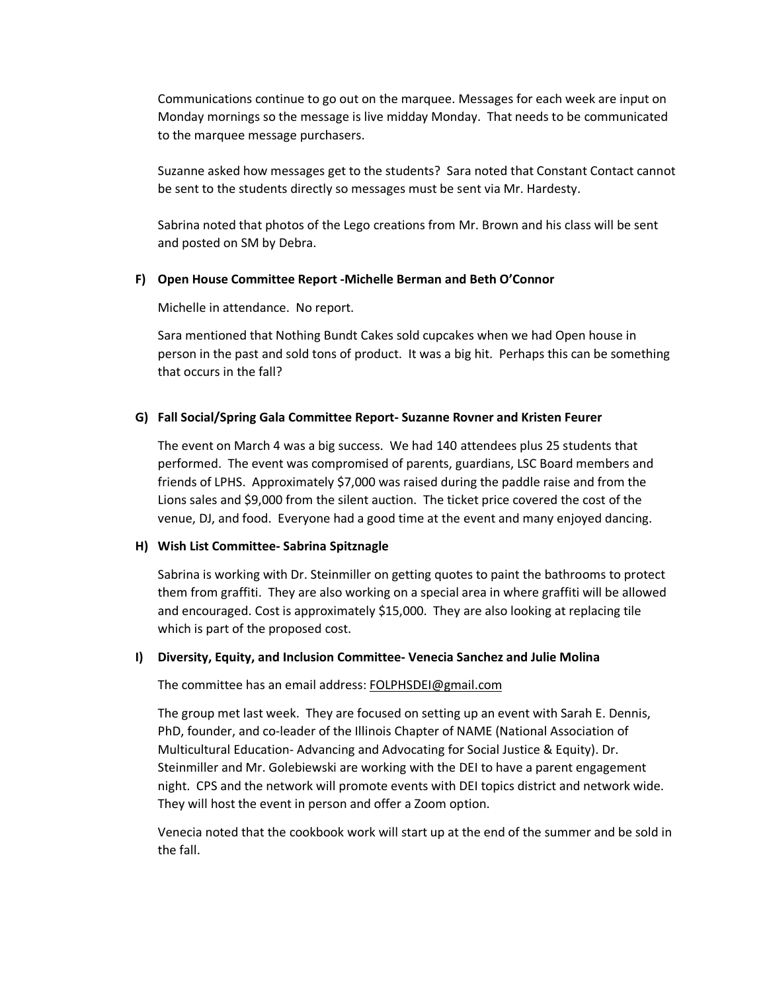Communications continue to go out on the marquee. Messages for each week are input on Monday mornings so the message is live midday Monday. That needs to be communicated to the marquee message purchasers.

Suzanne asked how messages get to the students? Sara noted that Constant Contact cannot be sent to the students directly so messages must be sent via Mr. Hardesty.

Sabrina noted that photos of the Lego creations from Mr. Brown and his class will be sent and posted on SM by Debra.

## **F) Open House Committee Report -Michelle Berman and Beth O'Connor**

Michelle in attendance. No report.

Sara mentioned that Nothing Bundt Cakes sold cupcakes when we had Open house in person in the past and sold tons of product. It was a big hit. Perhaps this can be something that occurs in the fall?

## **G) Fall Social/Spring Gala Committee Report- Suzanne Rovner and Kristen Feurer**

The event on March 4 was a big success. We had 140 attendees plus 25 students that performed. The event was compromised of parents, guardians, LSC Board members and friends of LPHS. Approximately \$7,000 was raised during the paddle raise and from the Lions sales and \$9,000 from the silent auction. The ticket price covered the cost of the venue, DJ, and food. Everyone had a good time at the event and many enjoyed dancing.

#### **H) Wish List Committee- Sabrina Spitznagle**

Sabrina is working with Dr. Steinmiller on getting quotes to paint the bathrooms to protect them from graffiti. They are also working on a special area in where graffiti will be allowed and encouraged. Cost is approximately \$15,000. They are also looking at replacing tile which is part of the proposed cost.

#### **I) Diversity, Equity, and Inclusion Committee- Venecia Sanchez and Julie Molina**

The committee has an email address: [FOLPHSDEI@gmail.com](mailto:FOLPHSDEI@gmail.com)

The group met last week. They are focused on setting up an event with Sarah E. Dennis, PhD, founder, and co-leader of the Illinois Chapter of NAME (National Association of Multicultural Education- Advancing and Advocating for Social Justice & Equity). Dr. Steinmiller and Mr. Golebiewski are working with the DEI to have a parent engagement night. CPS and the network will promote events with DEI topics district and network wide. They will host the event in person and offer a Zoom option.

Venecia noted that the cookbook work will start up at the end of the summer and be sold in the fall.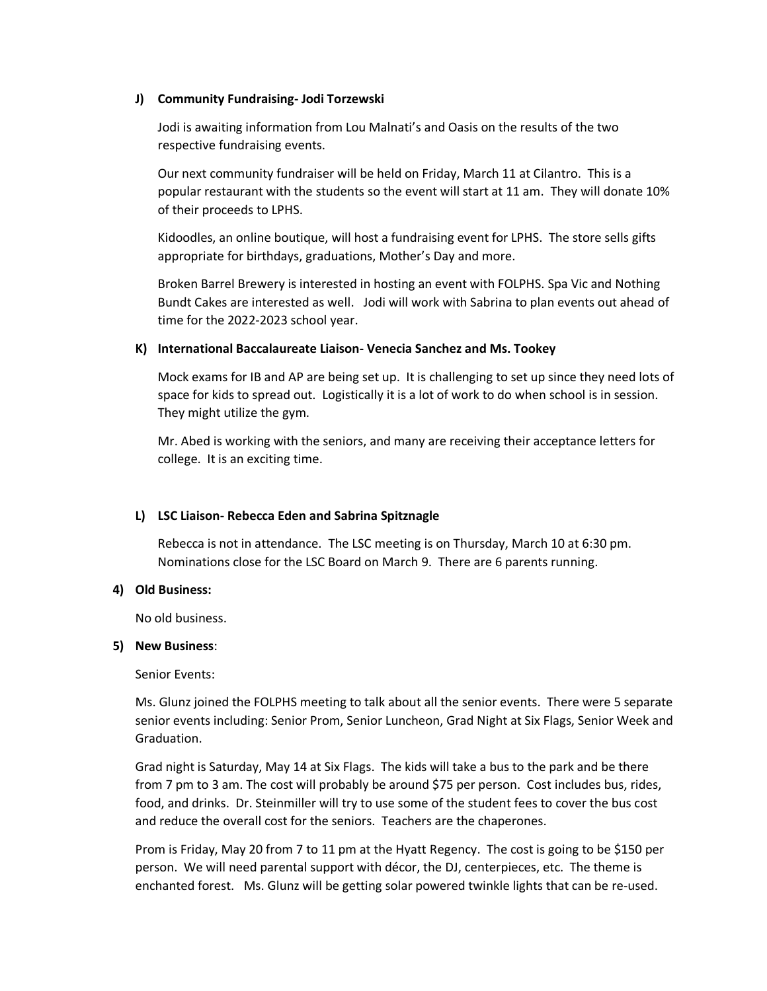## **J) Community Fundraising- Jodi Torzewski**

Jodi is awaiting information from Lou Malnati's and Oasis on the results of the two respective fundraising events.

Our next community fundraiser will be held on Friday, March 11 at Cilantro. This is a popular restaurant with the students so the event will start at 11 am. They will donate 10% of their proceeds to LPHS.

Kidoodles, an online boutique, will host a fundraising event for LPHS. The store sells gifts appropriate for birthdays, graduations, Mother's Day and more.

Broken Barrel Brewery is interested in hosting an event with FOLPHS. Spa Vic and Nothing Bundt Cakes are interested as well. Jodi will work with Sabrina to plan events out ahead of time for the 2022-2023 school year.

## **K) International Baccalaureate Liaison- Venecia Sanchez and Ms. Tookey**

Mock exams for IB and AP are being set up. It is challenging to set up since they need lots of space for kids to spread out. Logistically it is a lot of work to do when school is in session. They might utilize the gym.

Mr. Abed is working with the seniors, and many are receiving their acceptance letters for college. It is an exciting time.

# **L) LSC Liaison- Rebecca Eden and Sabrina Spitznagle**

Rebecca is not in attendance. The LSC meeting is on Thursday, March 10 at 6:30 pm. Nominations close for the LSC Board on March 9. There are 6 parents running.

#### **4) Old Business:**

No old business.

#### **5) New Business**:

Senior Events:

Ms. Glunz joined the FOLPHS meeting to talk about all the senior events. There were 5 separate senior events including: Senior Prom, Senior Luncheon, Grad Night at Six Flags, Senior Week and Graduation.

Grad night is Saturday, May 14 at Six Flags. The kids will take a bus to the park and be there from 7 pm to 3 am. The cost will probably be around \$75 per person. Cost includes bus, rides, food, and drinks. Dr. Steinmiller will try to use some of the student fees to cover the bus cost and reduce the overall cost for the seniors. Teachers are the chaperones.

Prom is Friday, May 20 from 7 to 11 pm at the Hyatt Regency. The cost is going to be \$150 per person. We will need parental support with décor, the DJ, centerpieces, etc. The theme is enchanted forest. Ms. Glunz will be getting solar powered twinkle lights that can be re-used.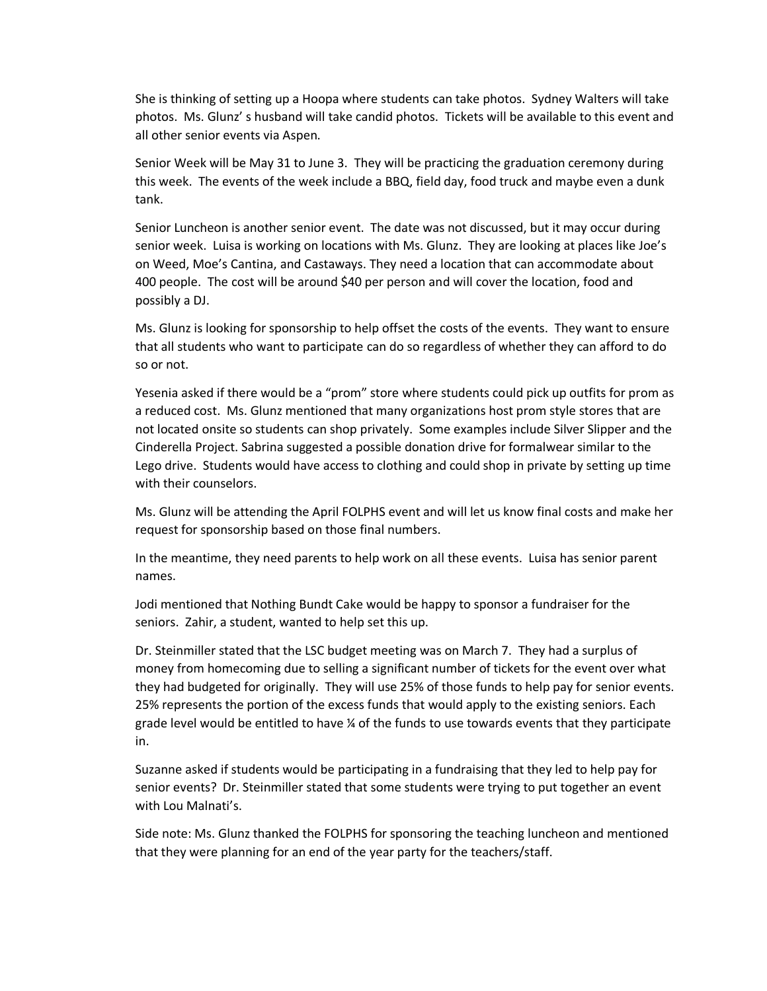She is thinking of setting up a Hoopa where students can take photos. Sydney Walters will take photos. Ms. Glunz' s husband will take candid photos. Tickets will be available to this event and all other senior events via Aspen.

Senior Week will be May 31 to June 3. They will be practicing the graduation ceremony during this week. The events of the week include a BBQ, field day, food truck and maybe even a dunk tank.

Senior Luncheon is another senior event. The date was not discussed, but it may occur during senior week. Luisa is working on locations with Ms. Glunz. They are looking at places like Joe's on Weed, Moe's Cantina, and Castaways. They need a location that can accommodate about 400 people. The cost will be around \$40 per person and will cover the location, food and possibly a DJ.

Ms. Glunz is looking for sponsorship to help offset the costs of the events. They want to ensure that all students who want to participate can do so regardless of whether they can afford to do so or not.

Yesenia asked if there would be a "prom" store where students could pick up outfits for prom as a reduced cost. Ms. Glunz mentioned that many organizations host prom style stores that are not located onsite so students can shop privately. Some examples include Silver Slipper and the Cinderella Project. Sabrina suggested a possible donation drive for formalwear similar to the Lego drive. Students would have access to clothing and could shop in private by setting up time with their counselors.

Ms. Glunz will be attending the April FOLPHS event and will let us know final costs and make her request for sponsorship based on those final numbers.

In the meantime, they need parents to help work on all these events. Luisa has senior parent names.

Jodi mentioned that Nothing Bundt Cake would be happy to sponsor a fundraiser for the seniors. Zahir, a student, wanted to help set this up.

Dr. Steinmiller stated that the LSC budget meeting was on March 7. They had a surplus of money from homecoming due to selling a significant number of tickets for the event over what they had budgeted for originally. They will use 25% of those funds to help pay for senior events. 25% represents the portion of the excess funds that would apply to the existing seniors. Each grade level would be entitled to have  $\chi$  of the funds to use towards events that they participate in.

Suzanne asked if students would be participating in a fundraising that they led to help pay for senior events? Dr. Steinmiller stated that some students were trying to put together an event with Lou Malnati's.

Side note: Ms. Glunz thanked the FOLPHS for sponsoring the teaching luncheon and mentioned that they were planning for an end of the year party for the teachers/staff.